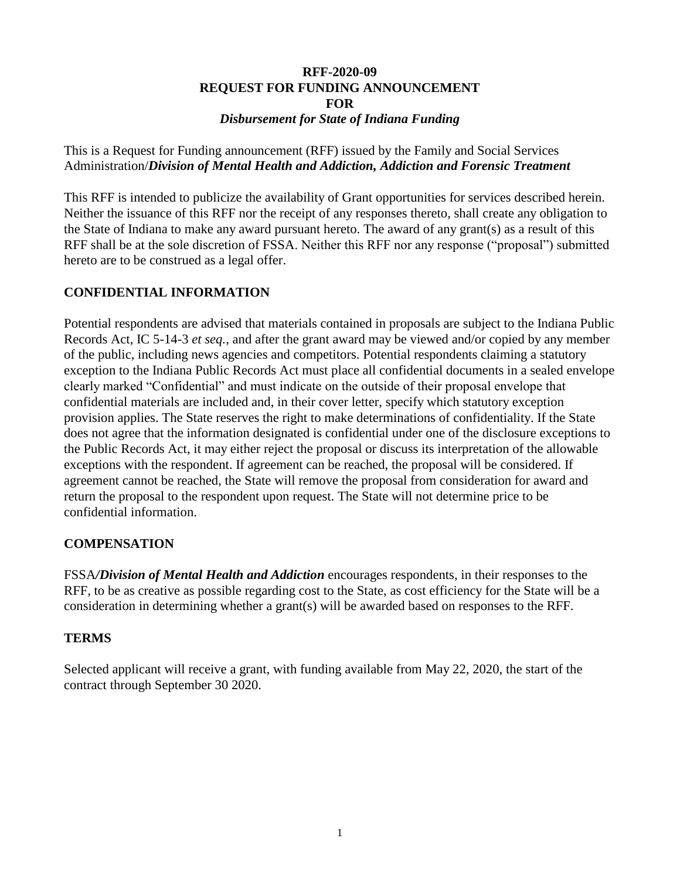#### **RFF-2020-09 REQUEST FOR FUNDING ANNOUNCEMENT FOR** *Disbursement for State of Indiana Funding*

This is a Request for Funding announcement (RFF) issued by the Family and Social Services Administration/*Division of Mental Health and Addiction, Addiction and Forensic Treatment*

This RFF is intended to publicize the availability of Grant opportunities for services described herein. Neither the issuance of this RFF nor the receipt of any responses thereto, shall create any obligation to the State of Indiana to make any award pursuant hereto. The award of any grant(s) as a result of this RFF shall be at the sole discretion of FSSA. Neither this RFF nor any response ("proposal") submitted hereto are to be construed as a legal offer.

### **CONFIDENTIAL INFORMATION**

Potential respondents are advised that materials contained in proposals are subject to the Indiana Public Records Act, IC 5-14-3 *et seq.*, and after the grant award may be viewed and/or copied by any member of the public, including news agencies and competitors. Potential respondents claiming a statutory exception to the Indiana Public Records Act must place all confidential documents in a sealed envelope clearly marked "Confidential" and must indicate on the outside of their proposal envelope that confidential materials are included and, in their cover letter, specify which statutory exception provision applies. The State reserves the right to make determinations of confidentiality. If the State does not agree that the information designated is confidential under one of the disclosure exceptions to the Public Records Act, it may either reject the proposal or discuss its interpretation of the allowable exceptions with the respondent. If agreement can be reached, the proposal will be considered. If agreement cannot be reached, the State will remove the proposal from consideration for award and return the proposal to the respondent upon request. The State will not determine price to be confidential information.

#### **COMPENSATION**

FSSA*/Division of Mental Health and Addiction* encourages respondents, in their responses to the RFF, to be as creative as possible regarding cost to the State, as cost efficiency for the State will be a consideration in determining whether a grant(s) will be awarded based on responses to the RFF.

#### **TERMS**

Selected applicant will receive a grant, with funding available from May 22, 2020, the start of the contract through September 30 2020.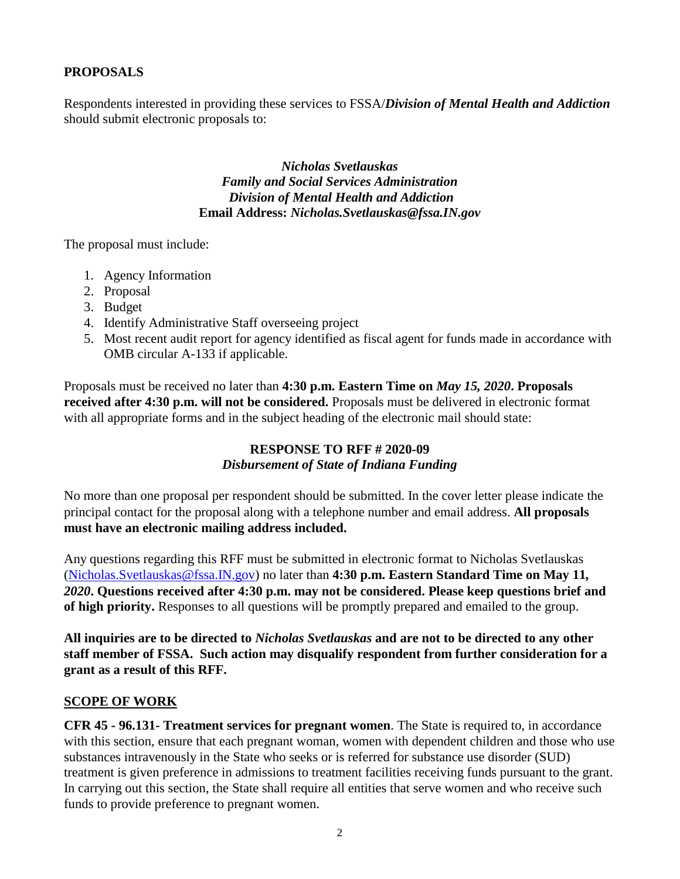### **PROPOSALS**

Respondents interested in providing these services to FSSA/*Division of Mental Health and Addiction* should submit electronic proposals to:

> *Nicholas Svetlauskas Family and Social Services Administration Division of Mental Health and Addiction* **Email Address:** *Nicholas.Svetlauskas@fssa.IN.gov*

The proposal must include:

- 1. Agency Information
- 2. Proposal
- 3. Budget
- 4. Identify Administrative Staff overseeing project
- 5. Most recent audit report for agency identified as fiscal agent for funds made in accordance with OMB circular A-133 if applicable.

Proposals must be received no later than **4:30 p.m. Eastern Time on** *May 15, 2020***. Proposals received after 4:30 p.m. will not be considered.** Proposals must be delivered in electronic format with all appropriate forms and in the subject heading of the electronic mail should state:

### **RESPONSE TO RFF # 2020-09** *Disbursement of State of Indiana Funding*

No more than one proposal per respondent should be submitted. In the cover letter please indicate the principal contact for the proposal along with a telephone number and email address. **All proposals must have an electronic mailing address included.**

Any questions regarding this RFF must be submitted in electronic format to Nicholas Svetlauskas [\(Nicholas.Svetlauskas@fssa.IN.gov\)](mailto:Nicholas.Svetlauskas@fssa.IN.gov) no later than **4:30 p.m. Eastern Standard Time on May 11***, 2020***. Questions received after 4:30 p.m. may not be considered. Please keep questions brief and of high priority.** Responses to all questions will be promptly prepared and emailed to the group.

**All inquiries are to be directed to** *Nicholas Svetlauskas* **and are not to be directed to any other staff member of FSSA. Such action may disqualify respondent from further consideration for a grant as a result of this RFF.**

#### **SCOPE OF WORK**

**CFR 45 - 96.131- Treatment services for pregnant women**. The [State](https://www.law.cornell.edu/definitions/index.php?width=840&height=800&iframe=true&def_id=86fdca9dab98876c8715f405d243711c&term_occur=999&term_src=Title:45:Chapter:A:Subchapter:A:Part:96:Subpart:L:96.131) is required to, in accordance with this section, ensure that each pregnant woman, women with dependent children and those who use substances intravenously in the [State](https://www.law.cornell.edu/definitions/index.php?width=840&height=800&iframe=true&def_id=86fdca9dab98876c8715f405d243711c&term_occur=999&term_src=Title:45:Chapter:A:Subchapter:A:Part:96:Subpart:L:96.131) who seeks or is referred for substance use disorder (SUD) treatment is given preference in admissions to treatment facilities receiving funds pursuant to the grant. In carrying out this section, the [State](https://www.law.cornell.edu/definitions/index.php?width=840&height=800&iframe=true&def_id=86fdca9dab98876c8715f405d243711c&term_occur=999&term_src=Title:45:Chapter:A:Subchapter:A:Part:96:Subpart:L:96.131) shall require all entities that serve women and who receive such funds to provide preference to pregnant women.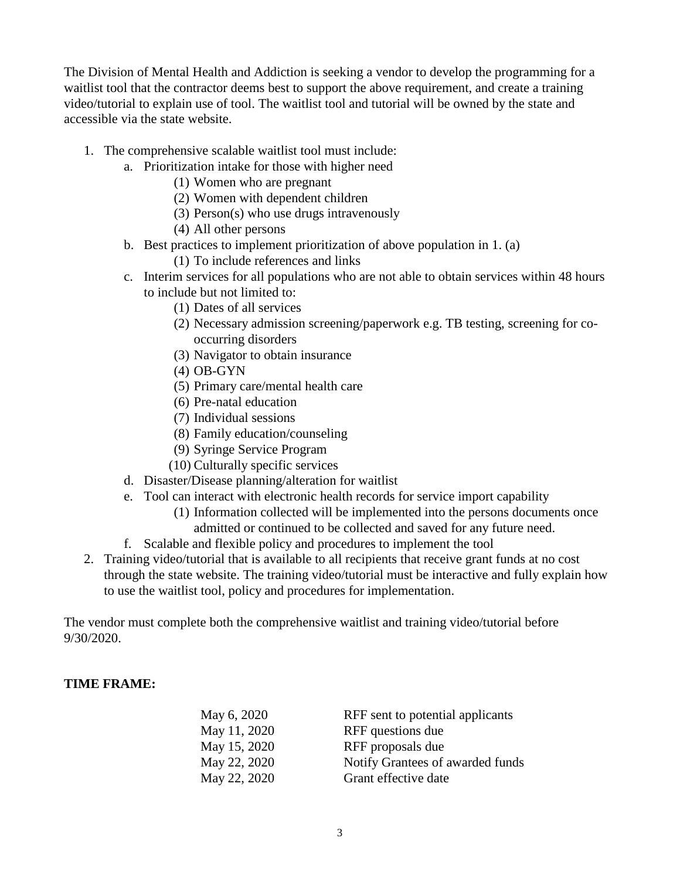The Division of Mental Health and Addiction is seeking a vendor to develop the programming for a waitlist tool that the contractor deems best to support the above requirement, and create a training video/tutorial to explain use of tool. The waitlist tool and tutorial will be owned by the state and accessible via the state website.

- 1. The comprehensive scalable waitlist tool must include:
	- a. Prioritization intake for those with higher need
		- (1) Women who are pregnant
		- (2) Women with dependent children
		- (3) Person(s) who use drugs intravenously
		- (4) All other persons
	- b. Best practices to implement prioritization of above population in 1. (a)
		- (1) To include references and links
	- c. Interim services for all populations who are not able to obtain services within 48 hours to include but not limited to:
		- (1) Dates of all services
		- (2) Necessary admission screening/paperwork e.g. TB testing, screening for cooccurring disorders
		- (3) Navigator to obtain insurance
		- (4) OB-GYN
		- (5) Primary care/mental health care
		- (6) Pre-natal education
		- (7) Individual sessions
		- (8) Family education/counseling
		- (9) Syringe Service Program
		- (10) Culturally specific services
	- d. Disaster/Disease planning/alteration for waitlist
	- e. Tool can interact with electronic health records for service import capability
		- (1) Information collected will be implemented into the persons documents once admitted or continued to be collected and saved for any future need.
	- f. Scalable and flexible policy and procedures to implement the tool
- 2. Training video/tutorial that is available to all recipients that receive grant funds at no cost through the state website. The training video/tutorial must be interactive and fully explain how to use the waitlist tool, policy and procedures for implementation.

The vendor must complete both the comprehensive waitlist and training video/tutorial before 9/30/2020.

## **TIME FRAME:**

| May 6, 2020  | RFF sent to potential applicants |
|--------------|----------------------------------|
| May 11, 2020 | RFF questions due                |
| May 15, 2020 | RFF proposals due                |
| May 22, 2020 | Notify Grantees of awarded funds |
| May 22, 2020 | Grant effective date             |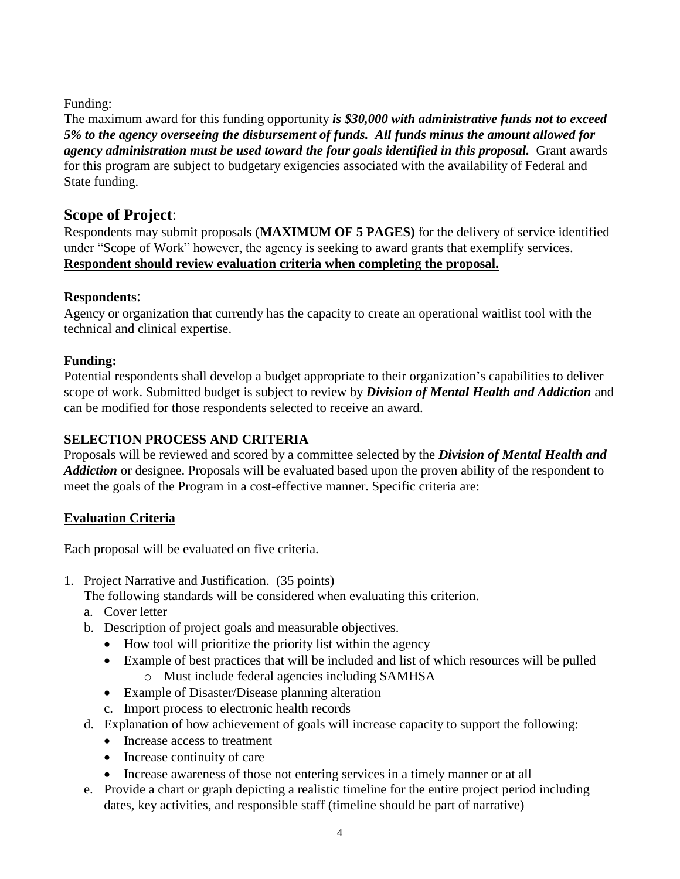## Funding:

The maximum award for this funding opportunity *is \$30,000 with administrative funds not to exceed 5% to the agency overseeing the disbursement of funds. All funds minus the amount allowed for agency administration must be used toward the four goals identified in this proposal.* Grant awards for this program are subject to budgetary exigencies associated with the availability of Federal and State funding.

# **Scope of Project**:

Respondents may submit proposals (**MAXIMUM OF 5 PAGES)** for the delivery of service identified under "Scope of Work" however, the agency is seeking to award grants that exemplify services. **Respondent should review evaluation criteria when completing the proposal.** 

## **Respondents**:

Agency or organization that currently has the capacity to create an operational waitlist tool with the technical and clinical expertise.

## **Funding:**

Potential respondents shall develop a budget appropriate to their organization's capabilities to deliver scope of work. Submitted budget is subject to review by *Division of Mental Health and Addiction* and can be modified for those respondents selected to receive an award.

## **SELECTION PROCESS AND CRITERIA**

Proposals will be reviewed and scored by a committee selected by the *Division of Mental Health and Addiction* or designee. Proposals will be evaluated based upon the proven ability of the respondent to meet the goals of the Program in a cost-effective manner. Specific criteria are:

## **Evaluation Criteria**

Each proposal will be evaluated on five criteria.

1. Project Narrative and Justification. (35 points)

The following standards will be considered when evaluating this criterion.

- a. Cover letter
- b. Description of project goals and measurable objectives.
	- How tool will prioritize the priority list within the agency
	- Example of best practices that will be included and list of which resources will be pulled o Must include federal agencies including SAMHSA
	- Example of Disaster/Disease planning alteration
	- c. Import process to electronic health records
- d. Explanation of how achievement of goals will increase capacity to support the following:
	- Increase access to treatment
	- Increase continuity of care
	- Increase awareness of those not entering services in a timely manner or at all
- e. Provide a chart or graph depicting a realistic timeline for the entire project period including dates, key activities, and responsible staff (timeline should be part of narrative)